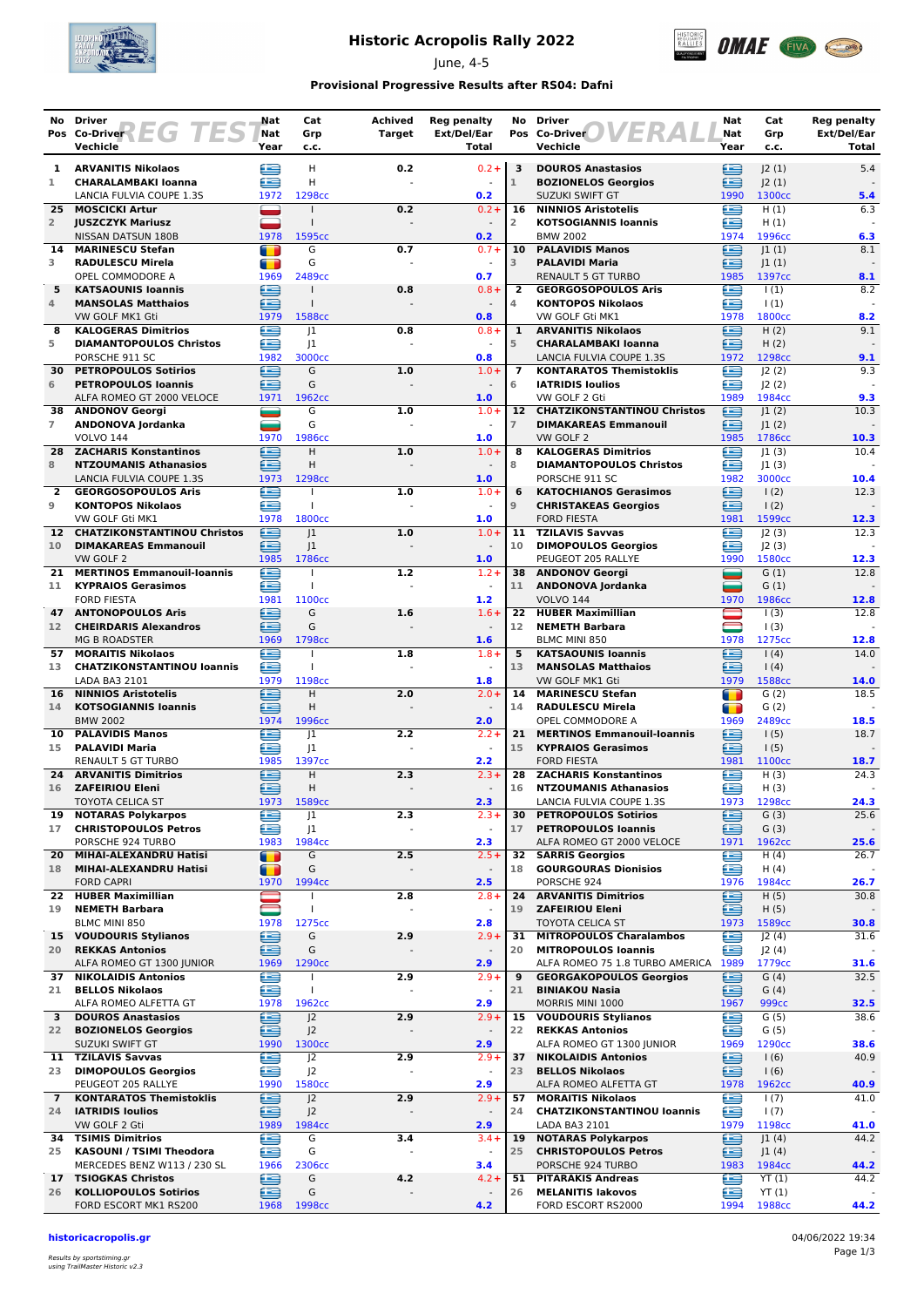

# **Historic Acropolis Rally 2022**

June, 4-5



### **Provisional Progressive Results after RS04: Dafni**

|                      | No Driver                                                                        | Nat                    | Cat                                  | <b>Achived</b> | <b>Reg penalty</b>                  | No                   | <b>Driver</b>                                                     | Nat                                         | Cat                         | <b>Reg penalty</b><br>Ext/Del/Ear |
|----------------------|----------------------------------------------------------------------------------|------------------------|--------------------------------------|----------------|-------------------------------------|----------------------|-------------------------------------------------------------------|---------------------------------------------|-----------------------------|-----------------------------------|
|                      | Pos Co-Driver $\left\{\begin{array}{c c} \hline \end{array}\right\}$<br>Vechicle | Nat<br>Year            | Grp<br>c.c.                          | <b>Target</b>  | Ext/Del/Ear<br>Total                |                      | Pos Co-Driver<br>Vechicle                                         | Nat<br>Year                                 | Grp<br>c.c.                 | Total                             |
| 1                    | <b>ARVANITIS Nikolaos</b>                                                        | ≘                      | н                                    | 0.2            | $0.2 +$                             | 3                    | <b>DOUROS Anastasios</b>                                          | œ                                           | J2(1)                       | 5.4                               |
| 1                    | <b>CHARALAMBAKI Ioanna</b>                                                       | æ                      | H                                    |                |                                     | $\mathbf{1}$         | <b>BOZIONELOS Georgios</b>                                        | £                                           | J2(1)                       |                                   |
| 25                   | LANCIA FULVIA COUPE 1.3S<br><b>MOSCICKI Artur</b>                                | 1972                   | 1298cc                               | 0.2            | 0.2<br>$0.2 +$                      | 16                   | SUZUKI SWIFT GT<br><b>NINNIOS Aristotelis</b>                     | 1990<br>£                                   | 1300 <sub>cc</sub><br>H(1)  | 5.4<br>6.3                        |
| $\overline{2}$       | <b>JUSZCZYK Mariusz</b>                                                          |                        |                                      |                |                                     | $\overline{2}$       | <b>KOTSOGIANNIS Ioannis</b>                                       | œ                                           | H(1)                        |                                   |
|                      | NISSAN DATSUN 180B                                                               | 1978                   | 1595cc                               |                | 0.2                                 |                      | <b>BMW 2002</b>                                                   | 1974                                        | 1996cc                      | 6.3                               |
| 14<br>3              | <b>MARINESCU Stefan</b><br><b>RADULESCU Mirela</b>                               | т                      | G<br>G                               | 0.7            | $0.7 +$<br>$\sim$                   | 10<br>3              | <b>PALAVIDIS Manos</b><br><b>PALAVIDI Maria</b>                   | £<br>≘                                      | 1(1) <br> 1(1)              | 8.1                               |
|                      | OPEL COMMODORE A                                                                 | $\blacksquare$<br>1969 | 2489cc                               |                | 0.7                                 |                      | <b>RENAULT 5 GT TURBO</b>                                         | 1985                                        | 1397cc                      | 8.1                               |
| 5                    | <b>KATSAOUNIS Ioannis</b>                                                        | ∈                      | $\mathbf{I}$                         | 0.8            | $0.8 +$                             | $\overline{2}$       | <b>GEORGOSOPOULOS Aris</b>                                        | œ                                           | 1(1)                        | 8.2                               |
| 4                    | <b>MANSOLAS Matthaios</b><br>VW GOLF MK1 Gti                                     | £<br>1979              | 1588cc                               |                | 0.8                                 | 4                    | <b>KONTOPOS Nikolaos</b><br>VW GOLF Gti MK1                       | £<br>1978                                   | $\vert$ (1)<br>1800cc       | 8.2                               |
| 8                    | <b>KALOGERAS Dimitrios</b>                                                       | £                      | 1                                    | 0.8            | $0.8 +$                             | 1                    | <b>ARVANITIS Nikolaos</b>                                         | £                                           | H(2)                        | 9.1                               |
| 5                    | <b>DIAMANTOPOULOS Christos</b>                                                   | œ                      | 1                                    |                |                                     | 5                    | <b>CHARALAMBAKI Ioanna</b>                                        | £                                           | H(2)                        |                                   |
| 30                   | PORSCHE 911 SC<br><b>PETROPOULOS Sotirios</b>                                    | 1982<br>œ              | 3000cc<br>G                          | 1.0            | 0.8<br>$1.0 +$                      | $\overline{ }$       | LANCIA FULVIA COUPE 1.3S<br><b>KONTARATOS Themistoklis</b>        | 1972<br>æ                                   | 1298cc<br>J2(2)             | 9.1<br>9.3                        |
| 6                    | <b>PETROPOULOS Ioannis</b>                                                       | £                      | G                                    |                | $\sim$                              | 6                    | <b>IATRIDIS Ioulios</b>                                           | œ                                           | 2(2)                        |                                   |
|                      | ALFA ROMEO GT 2000 VELOCE                                                        | 1971                   | 1962cc                               |                | 1.0                                 |                      | VW GOLF 2 Gti                                                     | 1989                                        | 1984cc                      | 9.3                               |
| 38<br>$\overline{7}$ | <b>ANDONOV Georgi</b><br>ANDONOVA Jordanka                                       | =<br>═                 | G<br>G                               | 1.0            | $1.0 +$                             | 12<br>$\overline{7}$ | <b>CHATZIKONSTANTINOU Christos</b><br><b>DIMAKAREAS Emmanouil</b> | ≘<br>∈                                      | 1(2) <br> 1(2)              | 10.3                              |
|                      | <b>VOLVO 144</b>                                                                 | 1970                   | 1986cc                               |                | 1.0                                 |                      | VW GOLF 2                                                         | 1985                                        | 1786cc                      | 10.3                              |
| 28                   | <b>ZACHARIS Konstantinos</b>                                                     | ≘                      | н                                    | 1.0            | $1.0 +$                             | 8                    | <b>KALOGERAS Dimitrios</b>                                        | œ                                           | 1(3)                        | 10.4                              |
| 8                    | <b>NTZOUMANIS Athanasios</b><br>LANCIA FULVIA COUPE 1.3S                         | æ<br>1973              | н<br>1298cc                          |                | 1.0                                 | 8                    | <b>DIAMANTOPOULOS Christos</b><br>PORSCHE 911 SC                  | œ<br>1982                                   | J1(3)<br>3000cc             | 10.4                              |
| $\overline{2}$       | <b>GEORGOSOPOULOS Aris</b>                                                       | œ                      |                                      | 1.0            | $1.0 +$                             | 6                    | <b>KATOCHIANOS Gerasimos</b>                                      | ≘                                           | $\vert$ (2)                 | 12.3                              |
| 9                    | <b>KONTOPOS Nikolaos</b>                                                         | £                      |                                      |                | $\Box$                              | $\overline{9}$       | <b>CHRISTAKEAS Georgios</b>                                       | œ                                           | 1(2)                        |                                   |
| 12 <sup>7</sup>      | VW GOLF Gti MK1<br><b>CHATZIKONSTANTINOU Christos</b>                            | 1978<br>e              | 1800 <sub>cc</sub><br> 1             | 1.0            | 1.0<br>$1.0 +$                      | 11                   | <b>FORD FIESTA</b><br><b>TZILAVIS Savvas</b>                      | 1981<br>œ                                   | 1599 <sub>cc</sub>          | 12.3<br>12.3                      |
| 10                   | <b>DIMAKAREAS Emmanouil</b>                                                      | ఆ                      | J1                                   |                |                                     | 10                   | <b>DIMOPOULOS Georgios</b>                                        | £                                           | J2(3)<br>J2(3)              |                                   |
|                      | VW GOLF 2                                                                        | 1985                   | 1786cc                               |                | 1.0                                 |                      | PEUGEOT 205 RALLYE                                                | 1990                                        | 1580cc                      | 12.3                              |
| 21                   | <b>MERTINOS Emmanouil-Ioannis</b>                                                | £                      | $\overline{1}$                       | 1.2            | $1.2 +$<br>$\sim$                   |                      | 38 ANDONOV Georgi                                                 | =                                           | G(1)                        | 12.8                              |
| 11                   | <b>KYPRAIOS Gerasimos</b><br><b>FORD FIESTA</b>                                  | œ<br>1981              | 1100cc                               |                | 1.2                                 | 11                   | ANDONOVA Jordanka<br><b>VOLVO 144</b>                             | عد<br>1970                                  | G(1)<br>1986cc              | 12.8                              |
| 47                   | <b>ANTONOPOULOS Aris</b>                                                         | ∈                      | G                                    | 1.6            | $1.6+$                              | 22                   | <b>HUBER Maximillian</b>                                          |                                             | 1(3)                        | 12.8                              |
| 12 <sup>7</sup>      | <b>CHEIRDARIS Alexandros</b><br><b>MG B ROADSTER</b>                             | œ<br>1969              | G<br>1798cc                          |                | $\sim$<br>1.6                       | 12                   | <b>NEMETH Barbara</b><br>BLMC MINI 850                            | $\qquad \qquad \qquad \blacksquare$<br>1978 | 1(3)<br>1275cc              | 12.8                              |
| 57                   | <b>MORAITIS Nikolaos</b>                                                         | e                      |                                      | 1.8            | $1.8 +$                             | 5                    | <b>KATSAOUNIS Ioannis</b>                                         | œ                                           | $\vert$ (4)                 | 14.0                              |
| 13                   | <b>CHATZIKONSTANTINOU loannis</b>                                                | ఆ                      |                                      |                |                                     | 13                   | <b>MANSOLAS Matthaios</b>                                         | £                                           | (4)                         |                                   |
| 16                   | LADA BA3 2101<br><b>NINNIOS Aristotelis</b>                                      | 1979<br>œ              | 1198cc<br>Н                          | 2.0            | 1.8<br>$2.0 +$                      | 14                   | VW GOLF MK1 Gti<br><b>MARINESCU Stefan</b>                        | 1979<br>$\blacksquare$                      | 1588cc<br>G(2)              | 14.0<br>18.5                      |
| 14                   | <b>KOTSOGIANNIS loannis</b>                                                      | ≘                      | H                                    |                | $\overline{\phantom{a}}$            | 14                   | <b>RADULESCU Mirela</b>                                           | т                                           | G(2)                        |                                   |
|                      | <b>BMW 2002</b>                                                                  | 1974                   | 1996cc                               |                | 2.0                                 |                      | OPEL COMMODORE A                                                  | 1969                                        | 2489cc                      | 18.5                              |
| 10<br>15             | <b>PALAVIDIS Manos</b><br><b>PALAVIDI Maria</b>                                  | £<br>æ                 | 1<br> 1                              | 2.2            | $2.2 +$<br>$\Box$                   | 21<br>15             | <b>MERTINOS Emmanouil-Ioannis</b><br><b>KYPRAIOS Gerasimos</b>    | e<br>£                                      | 1(5)<br>1(5)                | 18.7                              |
|                      | <b>RENAULT 5 GT TURBO</b>                                                        | 1985                   | 1397cc                               |                | 2.2                                 |                      | <b>FORD FIESTA</b>                                                | 1981                                        | 1100 <sub>cc</sub>          | 18.7                              |
| 24                   | <b>ARVANITIS Dimitrios</b>                                                       | ⊜                      | H                                    | 2.3            | $2.3 +$                             | 28                   | <b>ZACHARIS Konstantinos</b>                                      | ≘                                           | H(3)                        | 24.3                              |
| 16                   | <b>ZAFEIRIOU Eleni</b><br><b>TOYOTA CELICA ST</b>                                | ≘<br>1973              | Н<br>1589cc                          |                | 2.3                                 | 16                   | <b>NTZOUMANIS Athanasios</b><br>LANCIA FULVIA COUPE 1.3S          | £<br>1973                                   | H(3)<br>1298cc              | 24.3                              |
| 19                   | <b>NOTARAS Polykarpos</b>                                                        | ∈                      | J1                                   | 2.3            | $2.3+$                              | 30                   | <b>PETROPOULOS Sotirios</b>                                       | ⋐                                           | G(3)                        | 25.6                              |
| 17                   | <b>CHRISTOPOULOS Petros</b>                                                      | £                      | J1                                   |                | $\blacksquare$                      | 17                   | <b>PETROPOULOS Ioannis</b>                                        | ∈                                           | G(3)                        |                                   |
| 20                   | PORSCHE 924 TURBO<br>MIHAI-ALEXANDRU Hatisi                                      | 1983<br>T              | 1984 <sub>cc</sub><br>G              | 2.5            | 2.3<br>$2.5+$                       | 32                   | ALFA ROMEO GT 2000 VELOCE<br><b>SARRIS Georgios</b>               | 1971<br>œ                                   | 1962cc<br>H(4)              | 25.6<br>26.7                      |
| 18                   | MIHAI-ALEXANDRU Hatisi                                                           | П                      | G                                    |                | $\overline{\phantom{a}}$            | 18                   | <b>GOURGOURAS Dionisios</b>                                       | ≘                                           | H(4)                        |                                   |
|                      | <b>FORD CAPRI</b>                                                                | 1970                   | 1994 <sub>cc</sub>                   |                | 2.5                                 |                      | PORSCHE 924                                                       | 1976                                        | 1984cc                      | 26.7                              |
| 22<br>19             | <b>HUBER Maximillian</b><br><b>NEMETH Barbara</b>                                | $\blacksquare$         | $\mathbf{I}$                         | 2.8            | $2.8 +$<br>$\bar{\phantom{a}}$      | 24<br>19             | <b>ARVANITIS Dimitrios</b><br><b>ZAFEIRIOU Eleni</b>              | e<br>∈                                      | H(5)<br>H(5)                | 30.8                              |
|                      | BLMC MINI 850                                                                    | 1978                   | 1275cc                               |                | 2.8                                 |                      | <b>TOYOTA CELICA ST</b>                                           | 1973                                        | 1589cc                      | 30.8                              |
| 15                   | <b>VOUDOURIS Stylianos</b>                                                       | ≘                      | G                                    | 2.9            | $2.9 +$                             | 31                   | <b>MITROPOULOS Charalambos</b>                                    | Œ                                           | J2(4)                       | 31.6                              |
| 20                   | <b>REKKAS Antonios</b><br>ALFA ROMEO GT 1300 JUNIOR                              | ≘<br>1969              | G<br>1290cc                          |                | $\overline{\phantom{a}}$<br>2.9     | 20                   | <b>MITROPOULOS Ioannis</b><br>ALFA ROMEO 75 1.8 TURBO AMERICA     | œ<br>1989                                   | J2(4)<br>1779 <sub>cc</sub> | 31.6                              |
| 37                   | <b>NIKOLAIDIS Antonios</b>                                                       | œ                      | Τ.                                   | 2.9            | $2.9 +$                             | 9                    | <b>GEORGAKOPOULOS Georgios</b>                                    | ≘                                           | G(4)                        | 32.5                              |
| 21                   | <b>BELLOS Nikolaos</b>                                                           | €                      | $\mathbf{I}$                         |                |                                     | 21                   | <b>BINIAKOU Nasia</b>                                             | ఆ                                           | G(4)                        |                                   |
| 3                    | ALFA ROMEO ALFETTA GT<br><b>DOUROS Anastasios</b>                                | 1978<br>e              | 1962 <sub>cc</sub><br>J <sub>2</sub> | 2.9            | 2.9<br>$2.9+$                       | 15                   | MORRIS MINI 1000<br><b>VOUDOURIS Stylianos</b>                    | 1967<br>€                                   | 999 <sub>cc</sub><br>G(5)   | 32.5<br>38.6                      |
| 22                   | <b>BOZIONELOS Georgios</b>                                                       | £                      | J <sup>2</sup>                       |                |                                     | 22                   | <b>REKKAS Antonios</b>                                            | e                                           | G(5)                        |                                   |
|                      | SUZUKI SWIFT GT                                                                  | 1990                   | 1300 <sub>cc</sub>                   |                | 2.9                                 |                      | ALFA ROMEO GT 1300 JUNIOR                                         | 1969                                        | 1290cc                      | 38.6                              |
| 23                   | 11 TZILAVIS Savvas<br><b>DIMOPOULOS Georgios</b>                                 | e<br>ఆ                 | $\overline{J^2}$<br>J <sub>2</sub>   | 2.9<br>L,      | $2.9 +$<br>$\overline{\phantom{a}}$ | 23                   | <b>37 NIKOLAIDIS Antonios</b><br><b>BELLOS Nikolaos</b>           | €<br>≘                                      | 1(6)<br>1(6)                | 40.9                              |
|                      | PEUGEOT 205 RALLYE                                                               | 1990                   | 1580 <sub>cc</sub>                   |                | 2.9                                 |                      | ALFA ROMEO ALFETTA GT                                             | 1978                                        | 1962cc                      | 40.9                              |
| $\overline{ }$       | <b>KONTARATOS Themistoklis</b>                                                   | ∈                      | J <sub>2</sub>                       | 2.9            | $2.9+$                              | 57                   | <b>MORAITIS Nikolaos</b>                                          | œ                                           | 1(7)                        | 41.0                              |
| 24                   | <b>IATRIDIS Ioulios</b><br>VW GOLF 2 Gti                                         | ≘<br>1989              | J <sup>2</sup><br>1984 <sub>cc</sub> |                | $\overline{\phantom{a}}$<br>2.9     | 24                   | <b>CHATZIKONSTANTINOU loannis</b><br>LADA BA3 2101                | œ<br>1979                                   | 1(7)<br>1198cc              | 41.0                              |
|                      | <b>34 TSIMIS Dimitrios</b>                                                       | œ                      | G                                    | 3.4            | $3.4 +$                             | 19                   | <b>NOTARAS Polykarpos</b>                                         | €                                           | J1(4)                       | 44.2                              |
| 25                   | KASOUNI / TSIMI Theodora                                                         | ≘                      | G                                    |                | $\sim$                              | 25                   | <b>CHRISTOPOULOS Petros</b>                                       | ≘                                           | J1(4)                       |                                   |
| 17                   | MERCEDES BENZ W113 / 230 SL<br><b>TSIOGKAS Christos</b>                          | 1966<br>⊜              | 2306сс<br>G                          | 4.2            | 3.4<br>$4.2 +$                      | 51                   | PORSCHE 924 TURBO<br><b>PITARAKIS Andreas</b>                     | 1983<br>€                                   | 1984cc<br>YT(1)             | 44.2<br>44.2                      |
| 26                   | <b>KOLLIOPOULOS Sotirios</b>                                                     | ≘                      | G                                    |                |                                     | 26                   | <b>MELANITIS lakovos</b>                                          | £                                           | YT(1)                       |                                   |
|                      | FORD ESCORT MK1 RS200                                                            | 1968                   | 1998 <sub>cc</sub>                   |                | 4.2                                 |                      | FORD ESCORT RS2000                                                | 1994                                        | 1988cc                      | 44.2                              |

#### **historicacropolis.gr** 04/06/2022 19:34

Results by sportstiming.gr using TrailMaster Historic v2.3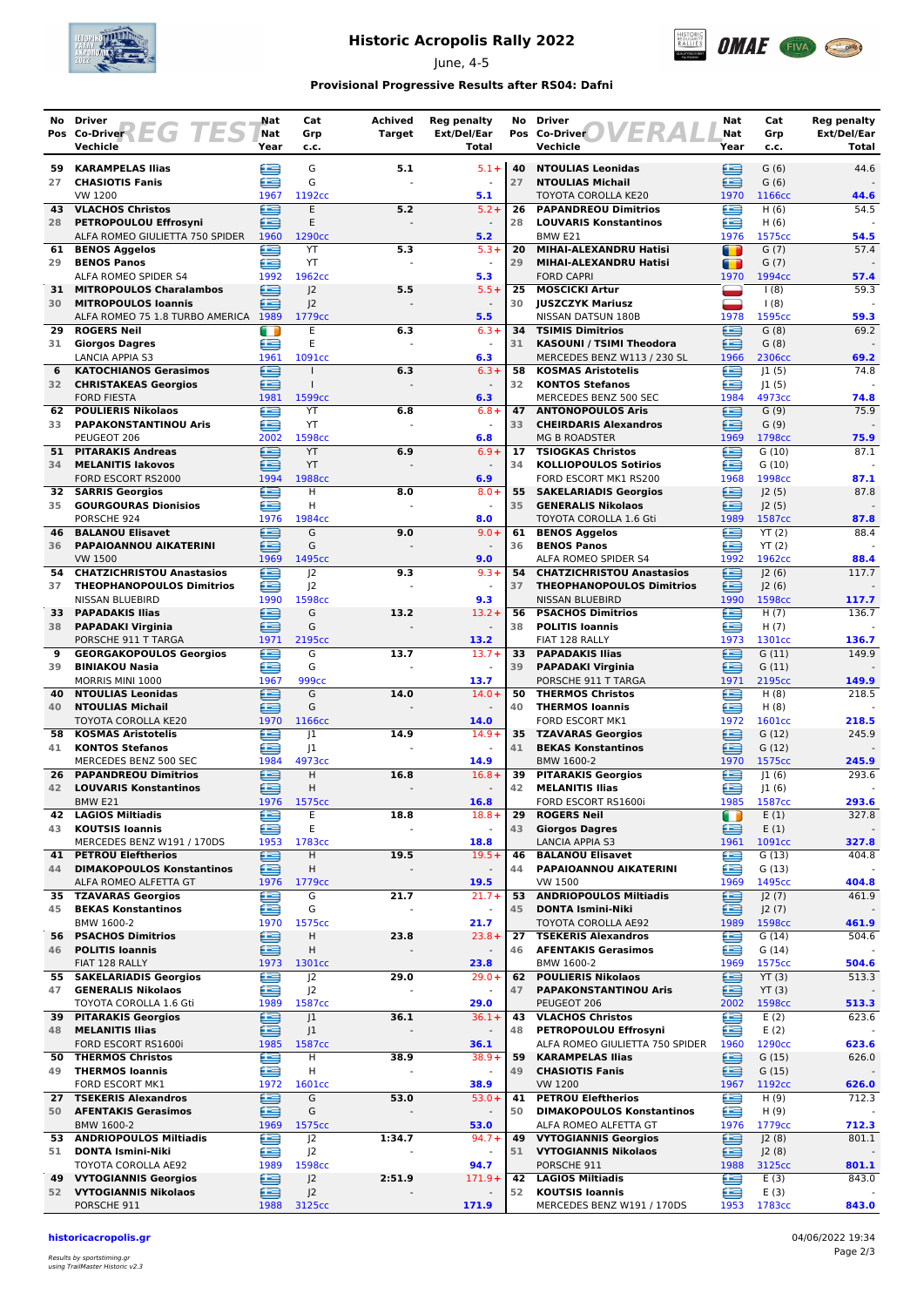

# **Historic Acropolis Rally 2022**

June, 4-5



### **Provisional Progressive Results after RS04: Dafni**

| No       | <b>Driver</b>                                                 | Nat         | Cat                              | Achived       | <b>Reg penalty</b>               | No       | <b>Driver</b>                                                 | Nat         | Cat               | <b>Reg penalty</b>   |
|----------|---------------------------------------------------------------|-------------|----------------------------------|---------------|----------------------------------|----------|---------------------------------------------------------------|-------------|-------------------|----------------------|
|          | Pos Co-Driver<br>$-1$<br>Vechicle                             | Nat<br>Year | Grp<br>c.c.                      | <b>Target</b> | Ext/Del/Ear<br>Total             |          | Pos Co-Driver<br>Vechicle                                     | Nat<br>Year | Grp<br>c.c.       | Ext/Del/Ear<br>Total |
| 59       | <b>KARAMPELAS Ilias</b>                                       | œ           | G                                | 5.1           | $5.1 +$                          | 40       | <b>NTOULIAS Leonidas</b>                                      | £           | G(6)              | 44.6                 |
| 27       | <b>CHASIOTIS Fanis</b>                                        | £           | G                                |               |                                  | 27       | <b>NTOULIAS Michail</b>                                       | £           | G(6)              |                      |
|          | VW 1200                                                       | 1967        | 1192cc                           |               | 5.1                              |          | TOYOTA COROLLA KE20                                           | 1970        | 1166cc            | 44.6                 |
| 43       | <b>VLACHOS Christos</b>                                       | £           | E                                | 5.2           | $5.2 +$                          | 26       | <b>PAPANDREOU Dimitrios</b>                                   | £           | H(6)              | 54.5                 |
| 28       | PETROPOULOU Effrosyni<br>ALFA ROMEO GIULIETTA 750 SPIDER 1960 | œ           | E<br>1290cc                      |               | 5.2                              | 28       | <b>LOUVARIS Konstantinos</b><br>BMW <sub>E21</sub>            | £<br>1976   | H(6)<br>1575cc    | 54.5                 |
| 61       | <b>BENOS Aggelos</b>                                          | Œ           | YT                               | 5.3           | $5.3+$                           | 20       | MIHAI-ALEXANDRU Hatisi                                        | T           | G(7)              | 57.4                 |
| 29       | <b>BENOS Panos</b>                                            | Æ           | YT                               |               | $\sim$                           | 29       | MIHAI-ALEXANDRU Hatisi                                        | m           | G(7)              |                      |
|          | ALFA ROMEO SPIDER S4                                          | 1992        | 1962cc                           |               | 5.3                              | 25       | <b>FORD CAPRI</b><br><b>MOSCICKI Artur</b>                    | 1970        | 1994cc            | 57.4<br>59.3         |
| 31<br>30 | <b>MITROPOULOS Charalambos</b><br><b>MITROPOULOS Ioannis</b>  | G<br>£      | J <sup>2</sup><br>J <sub>2</sub> | 5.5           | $5.5+$<br>$\sim$                 | 30       | <b>JUSZCZYK Mariusz</b>                                       | ▀           | 1(8)<br>1(8)      |                      |
|          | ALFA ROMEO 75 1.8 TURBO AMERICA 1989                          |             | 1779cc                           |               | 5.5                              |          | NISSAN DATSUN 180B                                            | 1978        | 1595cc            | 59.3                 |
| 29       | <b>ROGERS Neil</b>                                            | Œ           | E                                | 6.3           | $6.3 +$                          | 34       | <b>TSIMIS Dimitrios</b>                                       | æ           | G(8)              | 69.2                 |
| 31       | <b>Giorgos Dagres</b><br>LANCIA APPIA S3                      | £<br>1961   | E<br>1091cc                      |               | $\sim$<br>6.3                    |          | 31 KASOUNI / TSIMI Theodora<br>MERCEDES BENZ W113 / 230 SL    | £<br>1966   | G(8)<br>2306cc    | 69.2                 |
| 6        | <b>KATOCHIANOS Gerasimos</b>                                  | e           | $\mathbf{I}$                     | 6.3           | $6.3 +$                          | 58       | <b>KOSMAS Aristotelis</b>                                     | œ           | 1(5)              | 74.8                 |
| 32       | <b>CHRISTAKEAS Georgios</b>                                   | Æ           | $\mathbf{I}$                     |               | $\overline{\phantom{a}}$         | 32       | <b>KONTOS Stefanos</b>                                        | œ           | 1(5)              |                      |
|          | <b>FORD FIESTA</b>                                            | 1981        | 1599 <sub>cc</sub>               |               | 6.3                              |          | MERCEDES BENZ 500 SEC                                         | 1984        | 4973cc            | 74.8                 |
| 62<br>33 | <b>POULIERIS Nikolaos</b><br><b>PAPAKONSTANTINOU Aris</b>     | £<br>æ      | YT<br>YT                         | 6.8           | $6.8 +$                          | 47<br>33 | <b>ANTONOPOULOS Aris</b><br><b>CHEIRDARIS Alexandros</b>      | ≘<br>æ      | G(9)<br>G(9)      | 75.9                 |
|          | PEUGEOT 206                                                   | 2002        | 1598cc                           |               | 6.8                              |          | <b>MG B ROADSTER</b>                                          | 1969        | 1798cc            | 75.9                 |
| 51.      | <b>PITARAKIS Andreas</b>                                      | £           | YT                               | 6.9           | $6.9+$                           | 17       | <b>TSIOGKAS Christos</b>                                      | æ           | G(10)             | 87.1                 |
| 34       | <b>MELANITIS lakovos</b><br>FORD ESCORT RS2000                | £<br>1994   | YT<br>1988cc                     |               | 6.9                              | 34       | <b>KOLLIOPOULOS Sotirios</b><br>FORD ESCORT MK1 RS200         | œ<br>1968   | G(10)<br>1998cc   | 87.1                 |
|          | <b>32 SARRIS Georgios</b>                                     | £           | H                                | 8.0           | $8.0 +$                          | 55       | <b>SAKELARIADIS Georgios</b>                                  | ∈           | J2(5)             | 87.8                 |
| 35       | <b>GOURGOURAS Dionisios</b>                                   | £           | H                                |               |                                  | 35       | <b>GENERALIS Nikolaos</b>                                     | £           | J2(5)             |                      |
|          | PORSCHE 924                                                   | 1976        | 1984cc                           |               | 8.0                              |          | TOYOTA COROLLA 1.6 Gti                                        | 1989        | 1587cc            | 87.8                 |
| 46<br>36 | <b>BALANOU Elisavet</b><br>PAPAIOANNOU AIKATERINI             | ఆ<br>Æ      | G<br>G                           | 9.0           | $9.0 +$                          | 61<br>36 | <b>BENOS Aggelos</b><br><b>BENOS Panos</b>                    | œ<br>œ      | YT(2)<br>YT(2)    | 88.4                 |
|          | VW 1500                                                       | 1969        | 1495cc                           |               | 9.0                              |          | ALFA ROMEO SPIDER S4                                          | 1992        | 1962cc            | 88.4                 |
| 54       | <b>CHATZICHRISTOU Anastasios</b>                              | £           | 2                                | 9.3           | $9.3 +$                          |          | 54 CHATZICHRISTOU Anastasios                                  | æ           | 2(6)              | 117.7                |
| 37       | <b>THEOPHANOPOULOS Dimitrios</b>                              | ≘           | 2                                |               |                                  | 37       | <b>THEOPHANOPOULOS Dimitrios</b>                              | £           | J2(6)             |                      |
| 33       | NISSAN BLUEBIRD<br><b>PAPADAKIS Ilias</b>                     | 1990<br>≘   | 1598cc<br>G                      | 13.2          | 9.3<br>$13.2 +$                  | 56       | NISSAN BLUEBIRD<br><b>PSACHOS Dimitrios</b>                   | 1990<br>£   | 1598cc<br>H $(7)$ | 117.7<br>136.7       |
| 38       | <b>PAPADAKI Virginia</b>                                      | ≘           | G                                |               |                                  | 38       | <b>POLITIS Ioannis</b>                                        | œ           | H $(7)$           |                      |
|          | PORSCHE 911 T TARGA                                           | 1971        | 2195 <sub>cc</sub>               |               | 13.2                             |          | FIAT 128 RALLY                                                | 1973        | 1301cc            | 136.7                |
| 9        | <b>GEORGAKOPOULOS Georgios</b>                                | e           | G                                | 13.7          | $13.7+$                          | 33       | <b>PAPADAKIS Ilias</b>                                        | ≘           | G(11)             | 149.9                |
| 39       | <b>BINIAKOU Nasia</b><br>MORRIS MINI 1000                     | æ<br>1967   | G<br>999cc                       |               | 13.7                             | 39       | <b>PAPADAKI Virginia</b><br>PORSCHE 911 T TARGA               | œ<br>1971   | G(11)<br>2195cc   | 149.9                |
| 40       | <b>NTOULIAS Leonidas</b>                                      | €           | G                                | 14.0          | $14.0 +$                         | 50       | <b>THERMOS Christos</b>                                       | œ           | H(8)              | 218.5                |
| 40       | <b>NTOULIAS Michail</b>                                       | ≘           | G                                |               |                                  | 40       | <b>THERMOS loannis</b>                                        | œ           | H(8)              |                      |
|          | TOYOTA COROLLA KE20                                           | 1970<br>Œ   | 1166cc                           |               | 14.0                             |          | FORD ESCORT MK1                                               | 1972<br>£   | 1601cc            | 218.5<br>245.9       |
| 58<br>41 | <b>KOSMAS Aristotelis</b><br><b>KONTOS Stefanos</b>           | £           | 1<br>J1                          | 14.9          | $14.9+$                          | 35<br>41 | <b>TZAVARAS Georgios</b><br><b>BEKAS Konstantinos</b>         | £           | G(12)<br>G(12)    |                      |
|          | MERCEDES BENZ 500 SEC                                         | 1984        | 4973cc                           |               | 14.9                             |          | BMW 1600-2                                                    | 1970        | 1575cc            | 245.9                |
| 26       | <b>PAPANDREOU Dimitrios</b>                                   | ≘           | Н                                | 16.8          | $16.8+$                          | 39       | <b>PITARAKIS Georgios</b>                                     | £           | 1(6)              | 293.6                |
| 42       | <b>LOUVARIS Konstantinos</b><br>BMW <sub>E21</sub>            | Œ<br>1976   | н<br>1575cc                      |               | 16.8                             | 42       | <b>MELANITIS Ilias</b><br>FORD ESCORT RS1600i                 | £<br>1985   | 1(6) <br>1587cc   | 293.6                |
| 42       | <b>LAGIOS Miltiadis</b>                                       | ⊜           | Ε                                | 18.8          | $18.8 +$                         | 29       | <b>ROGERS Neil</b>                                            | O           | E(1)              | 327.8                |
| 43       | <b>KOUTSIS Ioannis</b>                                        | €           | Ε                                |               | $\blacksquare$                   | 43       | <b>Giorgos Dagres</b>                                         | ∈           | E(1)              |                      |
|          | MERCEDES BENZ W191 / 170DS                                    | 1953        | 1783cc                           |               | 18.8                             |          | <b>LANCIA APPIA S3</b>                                        | 1961        | 1091cc            | 327.8                |
| 41<br>44 | <b>PETROU Eleftherios</b><br><b>DIMAKOPOULOS Konstantinos</b> | œ<br>≘      | н<br>н                           | 19.5          | $19.5+$                          | 46<br>44 | <b>BALANOU Elisavet</b><br>PAPAIOANNOU AIKATERINI             | £<br>≘      | G(13)<br>G(13)    | 404.8                |
|          | ALFA ROMEO ALFETTA GT                                         | 1976        | 1779 <sub>cc</sub>               |               | 19.5                             |          | <b>VW 1500</b>                                                | 1969        | 1495cc            | 404.8                |
| 35       | <b>TZAVARAS Georgios</b>                                      | e           | G                                | 21.7          | $21.7 +$                         | 53       | <b>ANDRIOPOULOS Miltiadis</b>                                 | ≘           | J2(7)             | 461.9                |
| 45       | <b>BEKAS Konstantinos</b><br>BMW 1600-2                       | ఆ<br>1970   | G<br>1575cc                      |               | $\overline{\phantom{a}}$<br>21.7 | 45       | <b>DONTA Ismini-Niki</b><br>TOYOTA COROLLA AE92               | ≘<br>1989   | J2(7)<br>1598cc   | 461.9                |
| 56       | <b>PSACHOS Dimitrios</b>                                      | G           | Н                                | 23.8          | $23.8+$                          | 27       | <b>TSEKERIS Alexandros</b>                                    | œ           | G(14)             | 504.6                |
| 46       | <b>POLITIS Ioannis</b>                                        | ∈           | Н                                |               | $\blacksquare$                   | 46       | <b>AFENTAKIS Gerasimos</b>                                    | œ           | G(14)             |                      |
|          | FIAT 128 RALLY                                                | 1973        | 1301cc                           |               | 23.8                             |          | BMW 1600-2                                                    | 1969        | 1575cc            | 504.6                |
| 47       | 55 SAKELARIADIS Georgios<br><b>GENERALIS Nikolaos</b>         | ⋐<br>≘      | J <sub>2</sub><br>J <sub>2</sub> | 29.0          | $29.0+$                          | 62<br>47 | <b>POULIERIS Nikolaos</b><br><b>PAPAKONSTANTINOU Aris</b>     | œ<br>≘      | YT(3)<br>YT(3)    | 513.3                |
|          | TOYOTA COROLLA 1.6 Gti                                        | 1989        | 1587cc                           |               | 29.0                             |          | PEUGEOT 206                                                   | 2002        | 1598cc            | 513.3                |
| 39       | <b>PITARAKIS Georgios</b>                                     | £           | J <sub>1</sub>                   | 36.1          | $36.1 +$                         | 43       | <b>VLACHOS Christos</b>                                       | £           | E(2)              | 623.6                |
| 48       | <b>MELANITIS Ilias</b><br>FORD ESCORT RS1600i                 | ≘<br>1985   | J <sub>1</sub><br>1587cc         |               | 36.1                             | 48       | PETROPOULOU Effrosyni<br>ALFA ROMEO GIULIETTA 750 SPIDER      | œ<br>1960   | E(2)<br>1290cc    | 623.6                |
|          | 50 THERMOS Christos                                           | €           | н                                | 38.9          | $38.9+$                          | 59       | <b>KARAMPELAS Ilias</b>                                       | ⊟           | G(15)             | 626.0                |
| 49       | <b>THERMOS loannis</b>                                        | €           | Н                                |               |                                  | 49       | <b>CHASIOTIS Fanis</b>                                        | ē           | G(15)             |                      |
|          | FORD ESCORT MK1                                               | 1972        | 1601cc                           |               | 38.9                             |          | <b>VW 1200</b>                                                | 1967        | 1192cc            | 626.0                |
| 27<br>50 | <b>TSEKERIS Alexandros</b><br><b>AFENTAKIS Gerasimos</b>      | ≘<br>⋐      | G<br>G                           | 53.0          | $53.0+$                          | 41<br>50 | <b>PETROU Eleftherios</b><br><b>DIMAKOPOULOS Konstantinos</b> | £<br>œ      | H(9)<br>H(9)      | 712.3                |
|          | BMW 1600-2                                                    | 1969        | 1575 <sub>cc</sub>               |               | 53.0                             |          | ALFA ROMEO ALFETTA GT                                         | 1976        | 1779cc            | 712.3                |
| 53       | <b>ANDRIOPOULOS Miltiadis</b>                                 | œ           | J <sup>2</sup>                   | 1:34.7        | $94.7 +$                         | 49       | <b>VYTOGIANNIS Georgios</b>                                   | ≘           | J2(8)             | 801.1                |
| 51       | <b>DONTA Ismini-Niki</b>                                      | ∈           | J <sup>2</sup><br>1598cc         |               |                                  | 51       | <b>VYTOGIANNIS Nikolaos</b>                                   | ≘           | J2(8)             |                      |
| 49       | TOYOTA COROLLA AE92<br><b>VYTOGIANNIS Georgios</b>            | 1989<br>⊜   | J <sup>2</sup>                   | 2:51.9        | 94.7<br>$171.9+$                 | 42       | PORSCHE 911<br><b>LAGIOS Miltiadis</b>                        | 1988<br>e   | 3125cc<br>E(3)    | 801.1<br>843.0       |
|          | 52 VYTOGIANNIS Nikolaos                                       | ఆ           | J <sub>2</sub>                   |               |                                  | 52       | <b>KOUTSIS Ioannis</b>                                        | œ           | E(3)              |                      |
|          | PORSCHE 911                                                   | 1988        | 3125cc                           |               | 171.9                            |          | MERCEDES BENZ W191 / 170DS                                    | 1953        | 1783cc            | 843.0                |

#### **historicacropolis.gr** 04/06/2022 19:34

Results by sportstiming.gr using TrailMaster Historic v2.3